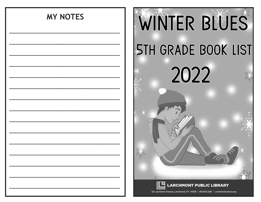